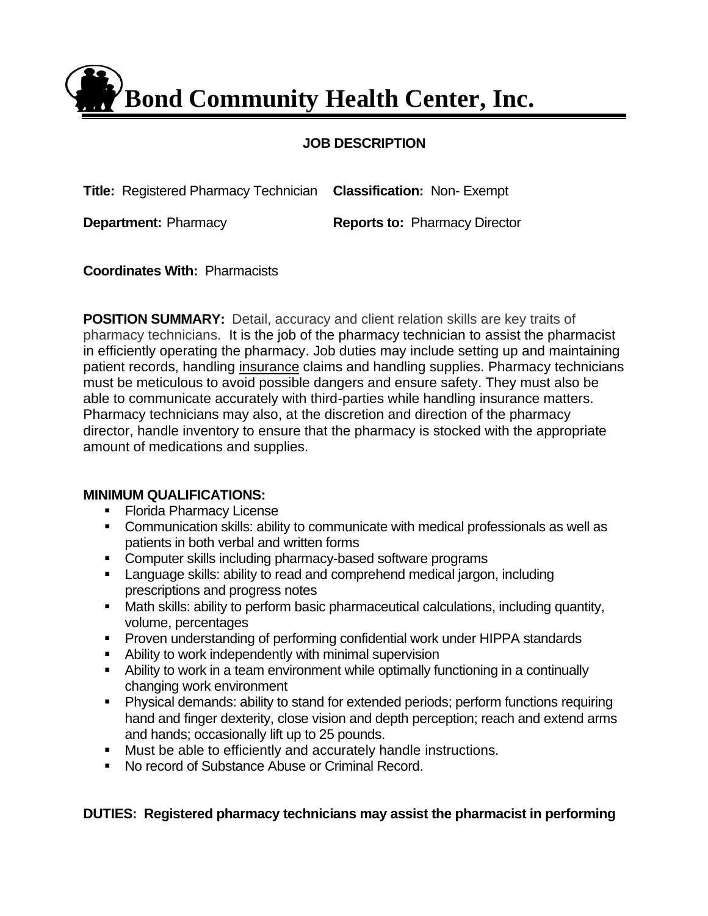**Bond Community Health Center, Inc.**

# **JOB DESCRIPTION**

**Title:** Registered Pharmacy Technician **Classification:** Non- Exempt **Department:** Pharmacy **Reports to: Pharmacy Director** 

**Coordinates With:** Pharmacists

**POSITION SUMMARY:** Detail, accuracy and client relation skills are key traits of pharmacy technicians. It is the job of the pharmacy technician to assist the pharmacist in efficiently operating the pharmacy. Job duties may include setting up and maintaining patient records, handling [insurance](http://www.jobdescriptions.net/health/pharmacy-technician/) claims and handling supplies. Pharmacy technicians must be meticulous to avoid possible dangers and ensure safety. They must also be able to communicate accurately with third-parties while handling insurance matters. Pharmacy technicians may also, at the discretion and direction of the pharmacy director, handle inventory to ensure that the pharmacy is stocked with the appropriate amount of medications and supplies.

## **MINIMUM QUALIFICATIONS:**

- Florida Pharmacy License
- Communication skills: ability to communicate with medical professionals as well as patients in both verbal and written forms
- Computer skills including pharmacy-based software programs
- Language skills: ability to read and comprehend medical jargon, including prescriptions and progress notes
- Math skills: ability to perform basic pharmaceutical calculations, including quantity, volume, percentages
- Proven understanding of performing confidential work under HIPPA standards
- Ability to work independently with minimal supervision
- Ability to work in a team environment while optimally functioning in a continually changing work environment
- Physical demands: ability to stand for extended periods; perform functions requiring hand and finger dexterity, close vision and depth perception; reach and extend arms and hands; occasionally lift up to 25 pounds.
- Must be able to efficiently and accurately handle instructions.
- No record of Substance Abuse or Criminal Record.

# **DUTIES: Registered pharmacy technicians may assist the pharmacist in performing**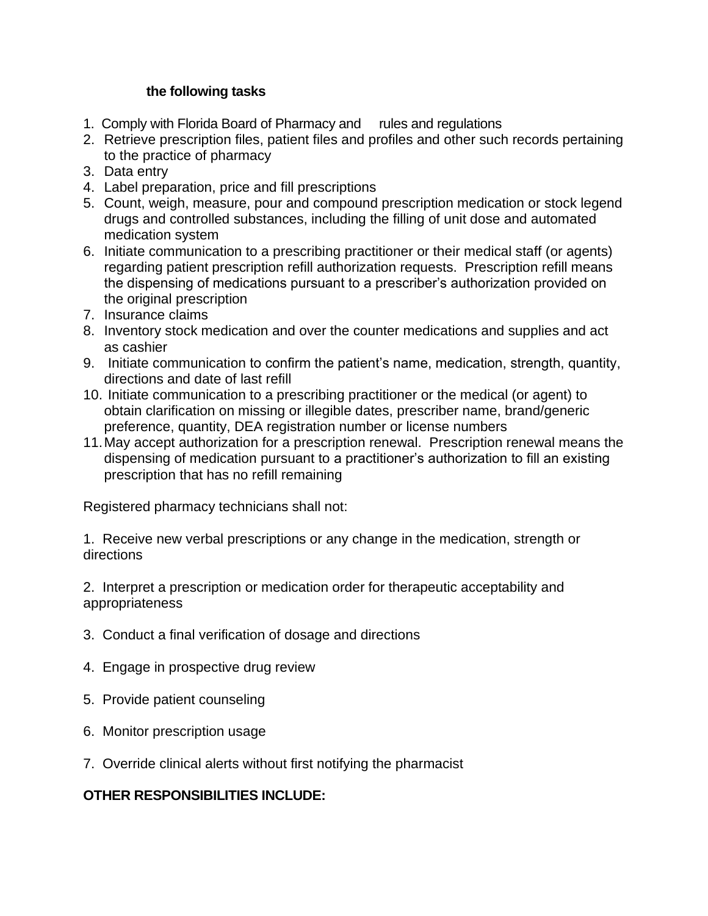## **the following tasks**

- 1. Comply with Florida Board of Pharmacy and rules and regulations
- 2. Retrieve prescription files, patient files and profiles and other such records pertaining to the practice of pharmacy
- 3. Data entry
- 4. Label preparation, price and fill prescriptions
- 5. Count, weigh, measure, pour and compound prescription medication or stock legend drugs and controlled substances, including the filling of unit dose and automated medication system
- 6. Initiate communication to a prescribing practitioner or their medical staff (or agents) regarding patient prescription refill authorization requests. Prescription refill means the dispensing of medications pursuant to a prescriber's authorization provided on the original prescription
- 7. Insurance claims
- 8. Inventory stock medication and over the counter medications and supplies and act as cashier
- 9. Initiate communication to confirm the patient's name, medication, strength, quantity, directions and date of last refill
- 10. Initiate communication to a prescribing practitioner or the medical (or agent) to obtain clarification on missing or illegible dates, prescriber name, brand/generic preference, quantity, DEA registration number or license numbers
- 11.May accept authorization for a prescription renewal. Prescription renewal means the dispensing of medication pursuant to a practitioner's authorization to fill an existing prescription that has no refill remaining

Registered pharmacy technicians shall not:

1. Receive new verbal prescriptions or any change in the medication, strength or directions

2. Interpret a prescription or medication order for therapeutic acceptability and appropriateness

- 3. Conduct a final verification of dosage and directions
- 4. Engage in prospective drug review
- 5. Provide patient counseling
- 6. Monitor prescription usage
- 7. Override clinical alerts without first notifying the pharmacist

# **OTHER RESPONSIBILITIES INCLUDE:**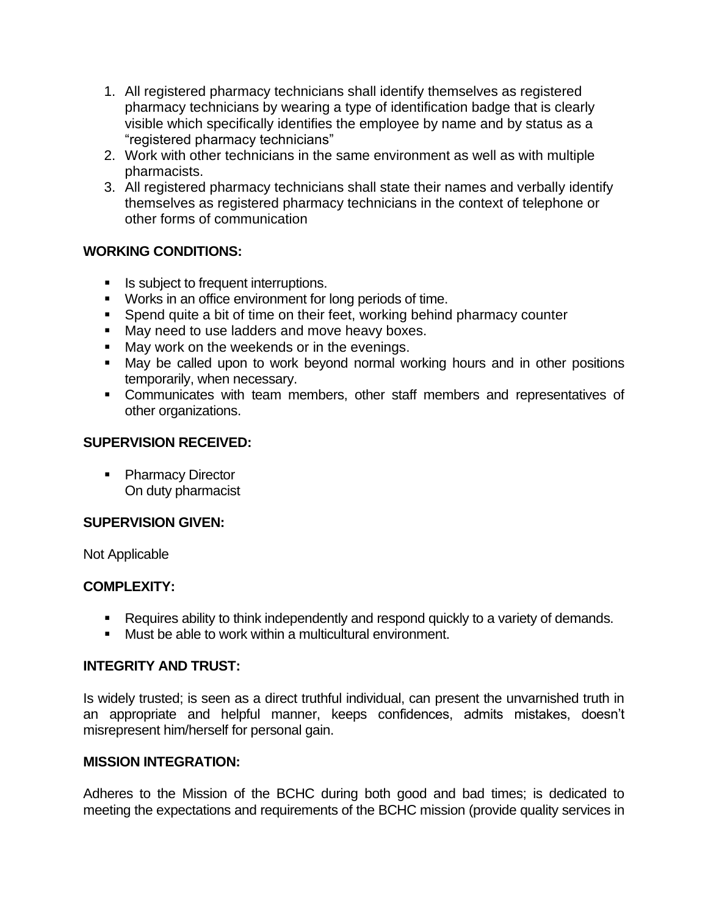- 1. All registered pharmacy technicians shall identify themselves as registered pharmacy technicians by wearing a type of identification badge that is clearly visible which specifically identifies the employee by name and by status as a "registered pharmacy technicians"
- 2. Work with other technicians in the same environment as well as with multiple pharmacists.
- 3. All registered pharmacy technicians shall state their names and verbally identify themselves as registered pharmacy technicians in the context of telephone or other forms of communication

## **WORKING CONDITIONS:**

- Is subject to frequent interruptions.
- Works in an office environment for long periods of time.
- Spend quite a bit of time on their feet, working behind pharmacy counter
- May need to use ladders and move heavy boxes.
- May work on the weekends or in the evenings.
- May be called upon to work beyond normal working hours and in other positions temporarily, when necessary.
- Communicates with team members, other staff members and representatives of other organizations.

## **SUPERVISION RECEIVED:**

■ Pharmacy Director On duty pharmacist

## **SUPERVISION GIVEN:**

Not Applicable

## **COMPLEXITY:**

- Requires ability to think independently and respond quickly to a variety of demands.
- Must be able to work within a multicultural environment.

## **INTEGRITY AND TRUST:**

Is widely trusted; is seen as a direct truthful individual, can present the unvarnished truth in an appropriate and helpful manner, keeps confidences, admits mistakes, doesn't misrepresent him/herself for personal gain.

## **MISSION INTEGRATION:**

Adheres to the Mission of the BCHC during both good and bad times; is dedicated to meeting the expectations and requirements of the BCHC mission (provide quality services in